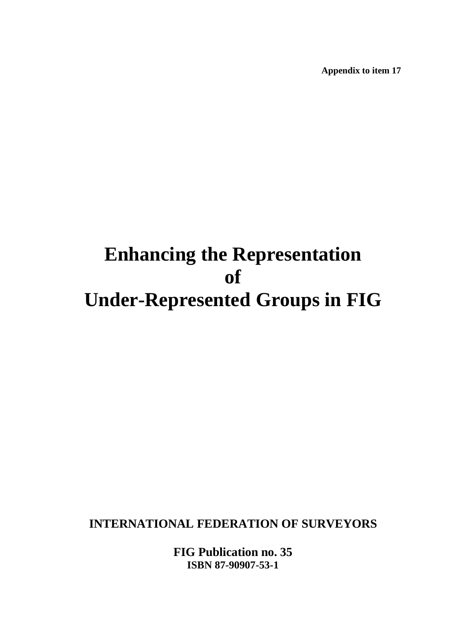**Appendix to item 17** 

# **Enhancing the Representation of Under-Represented Groups in FIG**

**INTERNATIONAL FEDERATION OF SURVEYORS** 

**FIG Publication no. 35 ISBN 87-90907-53-1**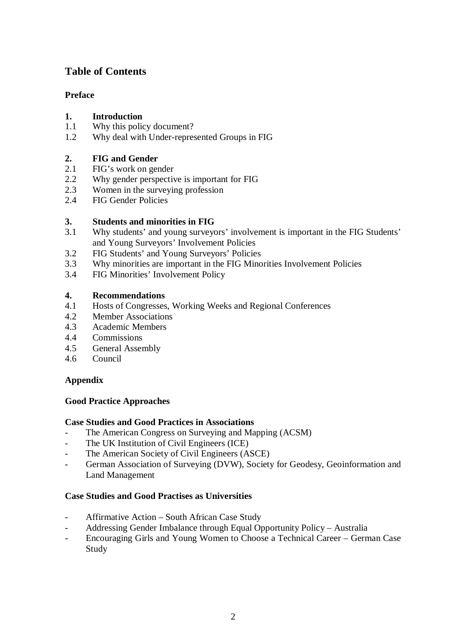# **Table of Contents**

# **Preface**

## **1. Introduction**

- 1.1 Why this policy document?
- 1.2 Why deal with Under-represented Groups in FIG

## **2. FIG and Gender**

- 2.1 FIG's work on gender
- 2.2 Why gender perspective is important for FIG
- 2.3 Women in the surveying profession
- 2.4 FIG Gender Policies

## **3. Students and minorities in FIG**

- 3.1 Why students' and young surveyors' involvement is important in the FIG Students' and Young Surveyors' Involvement Policies
- 3.2 FIG Students' and Young Surveyors' Policies
- 3.3 Why minorities are important in the FIG Minorities Involvement Policies
- 3.4 FIG Minorities' Involvement Policy

## **4. Recommendations**

- 4.1 Hosts of Congresses, Working Weeks and Regional Conferences
- 4.2 Member Associations
- 4.3 Academic Members
- 4.4 Commissions
- 4.5 General Assembly
- 4.6 Council

# **Appendix**

## **Good Practice Approaches**

## **Case Studies and Good Practices in Associations**

- The American Congress on Surveying and Mapping (ACSM)
- The UK Institution of Civil Engineers (ICE)
- The American Society of Civil Engineers (ASCE)
- German Association of Surveying (DVW), Society for Geodesy, Geoinformation and Land Management

## **Case Studies and Good Practises as Universities**

- Affirmative Action South African Case Study
- Addressing Gender Imbalance through Equal Opportunity Policy Australia
- Encouraging Girls and Young Women to Choose a Technical Career German Case Study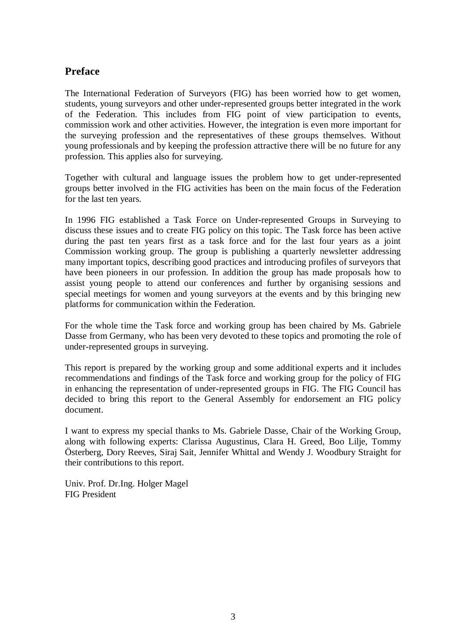# **Preface**

The International Federation of Surveyors (FIG) has been worried how to get women, students, young surveyors and other under-represented groups better integrated in the work of the Federation. This includes from FIG point of view participation to events, commission work and other activities. However, the integration is even more important for the surveying profession and the representatives of these groups themselves. Without young professionals and by keeping the profession attractive there will be no future for any profession. This applies also for surveying.

Together with cultural and language issues the problem how to get under-represented groups better involved in the FIG activities has been on the main focus of the Federation for the last ten years.

In 1996 FIG established a Task Force on Under-represented Groups in Surveying to discuss these issues and to create FIG policy on this topic. The Task force has been active during the past ten years first as a task force and for the last four years as a joint Commission working group. The group is publishing a quarterly newsletter addressing many important topics, describing good practices and introducing profiles of surveyors that have been pioneers in our profession. In addition the group has made proposals how to assist young people to attend our conferences and further by organising sessions and special meetings for women and young surveyors at the events and by this bringing new platforms for communication within the Federation.

For the whole time the Task force and working group has been chaired by Ms. Gabriele Dasse from Germany, who has been very devoted to these topics and promoting the role of under-represented groups in surveying.

This report is prepared by the working group and some additional experts and it includes recommendations and findings of the Task force and working group for the policy of FIG in enhancing the representation of under-represented groups in FIG. The FIG Council has decided to bring this report to the General Assembly for endorsement an FIG policy document.

I want to express my special thanks to Ms. Gabriele Dasse, Chair of the Working Group, along with following experts: Clarissa Augustinus, Clara H. Greed, Boo Lilje, Tommy Österberg, Dory Reeves, Siraj Sait, Jennifer Whittal and Wendy J. Woodbury Straight for their contributions to this report.

Univ. Prof. Dr.Ing. Holger Magel FIG President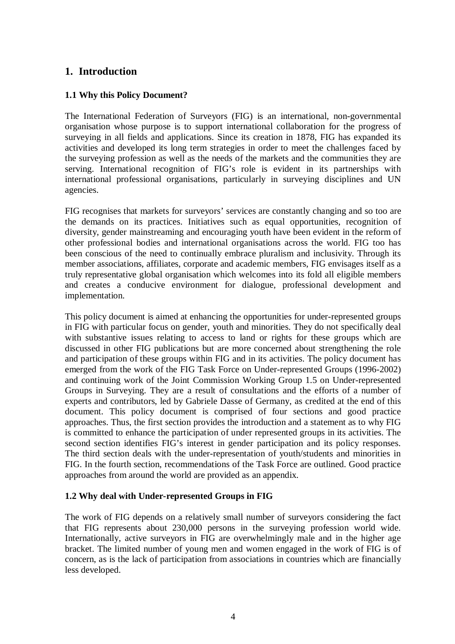# **1. Introduction**

## **1.1 Why this Policy Document?**

The International Federation of Surveyors (FIG) is an international, non-governmental organisation whose purpose is to support international collaboration for the progress of surveying in all fields and applications. Since its creation in 1878, FIG has expanded its activities and developed its long term strategies in order to meet the challenges faced by the surveying profession as well as the needs of the markets and the communities they are serving. International recognition of FIG's role is evident in its partnerships with international professional organisations, particularly in surveying disciplines and UN agencies.

FIG recognises that markets for surveyors' services are constantly changing and so too are the demands on its practices. Initiatives such as equal opportunities, recognition of diversity, gender mainstreaming and encouraging youth have been evident in the reform of other professional bodies and international organisations across the world. FIG too has been conscious of the need to continually embrace pluralism and inclusivity. Through its member associations, affiliates, corporate and academic members, FIG envisages itself as a truly representative global organisation which welcomes into its fold all eligible members and creates a conducive environment for dialogue, professional development and implementation.

This policy document is aimed at enhancing the opportunities for under-represented groups in FIG with particular focus on gender, youth and minorities. They do not specifically deal with substantive issues relating to access to land or rights for these groups which are discussed in other FIG publications but are more concerned about strengthening the role and participation of these groups within FIG and in its activities. The policy document has emerged from the work of the FIG Task Force on Under-represented Groups (1996-2002) and continuing work of the Joint Commission Working Group 1.5 on Under-represented Groups in Surveying. They are a result of consultations and the efforts of a number of experts and contributors, led by Gabriele Dasse of Germany, as credited at the end of this document. This policy document is comprised of four sections and good practice approaches. Thus, the first section provides the introduction and a statement as to why FIG is committed to enhance the participation of under represented groups in its activities. The second section identifies FIG's interest in gender participation and its policy responses. The third section deals with the under-representation of youth/students and minorities in FIG. In the fourth section, recommendations of the Task Force are outlined. Good practice approaches from around the world are provided as an appendix.

## **1.2 Why deal with Under-represented Groups in FIG**

The work of FIG depends on a relatively small number of surveyors considering the fact that FIG represents about 230,000 persons in the surveying profession world wide. Internationally, active surveyors in FIG are overwhelmingly male and in the higher age bracket. The limited number of young men and women engaged in the work of FIG is of concern, as is the lack of participation from associations in countries which are financially less developed.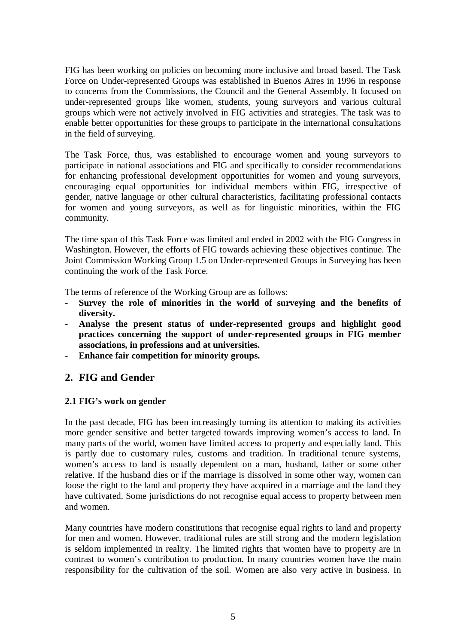FIG has been working on policies on becoming more inclusive and broad based. The Task Force on Under-represented Groups was established in Buenos Aires in 1996 in response to concerns from the Commissions, the Council and the General Assembly. It focused on under-represented groups like women, students, young surveyors and various cultural groups which were not actively involved in FIG activities and strategies. The task was to enable better opportunities for these groups to participate in the international consultations in the field of surveying.

The Task Force, thus, was established to encourage women and young surveyors to participate in national associations and FIG and specifically to consider recommendations for enhancing professional development opportunities for women and young surveyors, encouraging equal opportunities for individual members within FIG, irrespective of gender, native language or other cultural characteristics, facilitating professional contacts for women and young surveyors, as well as for linguistic minorities, within the FIG community.

The time span of this Task Force was limited and ended in 2002 with the FIG Congress in Washington. However, the efforts of FIG towards achieving these objectives continue. The Joint Commission Working Group 1.5 on Under-represented Groups in Surveying has been continuing the work of the Task Force.

The terms of reference of the Working Group are as follows:

- **Survey the role of minorities in the world of surveying and the benefits of diversity.**
- **Analyse the present status of under-represented groups and highlight good practices concerning the support of under-represented groups in FIG member associations, in professions and at universities.**
- **Enhance fair competition for minority groups.**

# **2. FIG and Gender**

## **2.1 FIG's work on gender**

In the past decade, FIG has been increasingly turning its attention to making its activities more gender sensitive and better targeted towards improving women's access to land. In many parts of the world, women have limited access to property and especially land. This is partly due to customary rules, customs and tradition. In traditional tenure systems, women's access to land is usually dependent on a man, husband, father or some other relative. If the husband dies or if the marriage is dissolved in some other way, women can loose the right to the land and property they have acquired in a marriage and the land they have cultivated. Some jurisdictions do not recognise equal access to property between men and women.

Many countries have modern constitutions that recognise equal rights to land and property for men and women. However, traditional rules are still strong and the modern legislation is seldom implemented in reality. The limited rights that women have to property are in contrast to women's contribution to production. In many countries women have the main responsibility for the cultivation of the soil. Women are also very active in business. In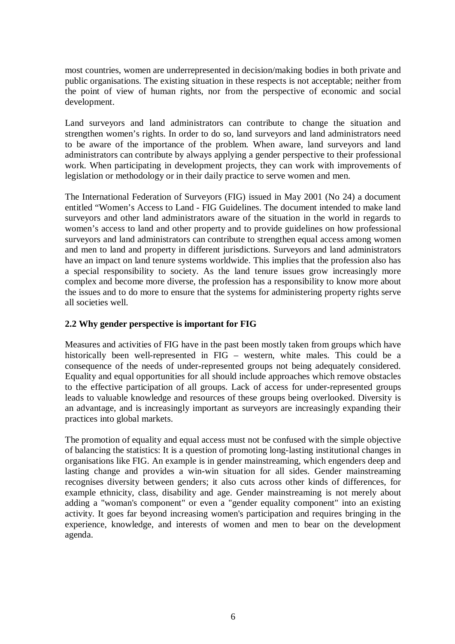most countries, women are underrepresented in decision/making bodies in both private and public organisations. The existing situation in these respects is not acceptable; neither from the point of view of human rights, nor from the perspective of economic and social development.

Land surveyors and land administrators can contribute to change the situation and strengthen women's rights. In order to do so, land surveyors and land administrators need to be aware of the importance of the problem. When aware, land surveyors and land administrators can contribute by always applying a gender perspective to their professional work. When participating in development projects, they can work with improvements of legislation or methodology or in their daily practice to serve women and men.

The International Federation of Surveyors (FIG) issued in May 2001 (No 24) a document entitled "Women's Access to Land - FIG Guidelines. The document intended to make land surveyors and other land administrators aware of the situation in the world in regards to women's access to land and other property and to provide guidelines on how professional surveyors and land administrators can contribute to strengthen equal access among women and men to land and property in different jurisdictions. Surveyors and land administrators have an impact on land tenure systems worldwide. This implies that the profession also has a special responsibility to society. As the land tenure issues grow increasingly more complex and become more diverse, the profession has a responsibility to know more about the issues and to do more to ensure that the systems for administering property rights serve all societies well.

## **2.2 Why gender perspective is important for FIG**

Measures and activities of FIG have in the past been mostly taken from groups which have historically been well-represented in FIG – western, white males. This could be a consequence of the needs of under-represented groups not being adequately considered. Equality and equal opportunities for all should include approaches which remove obstacles to the effective participation of all groups. Lack of access for under-represented groups leads to valuable knowledge and resources of these groups being overlooked. Diversity is an advantage, and is increasingly important as surveyors are increasingly expanding their practices into global markets.

The promotion of equality and equal access must not be confused with the simple objective of balancing the statistics: It is a question of promoting long-lasting institutional changes in organisations like FIG. An example is in gender mainstreaming, which engenders deep and lasting change and provides a win-win situation for all sides. Gender mainstreaming recognises diversity between genders; it also cuts across other kinds of differences, for example ethnicity, class, disability and age. Gender mainstreaming is not merely about adding a "woman's component" or even a "gender equality component" into an existing activity. It goes far beyond increasing women's participation and requires bringing in the experience, knowledge, and interests of women and men to bear on the development agenda.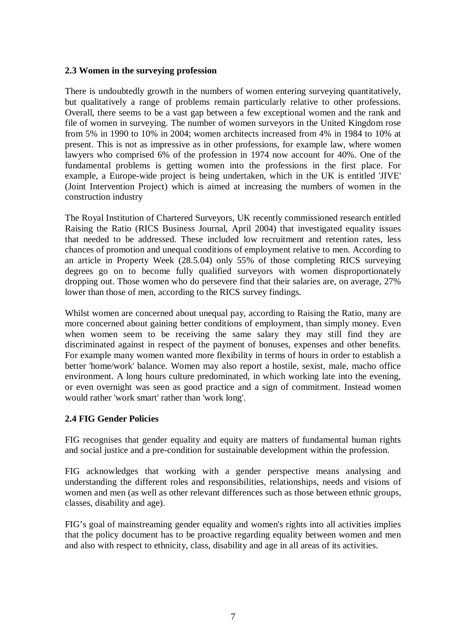#### **2.3 Women in the surveying profession**

There is undoubtedly growth in the numbers of women entering surveying quantitatively, but qualitatively a range of problems remain particularly relative to other professions. Overall, there seems to be a vast gap between a few exceptional women and the rank and file of women in surveying. The number of women surveyors in the United Kingdom rose from 5% in 1990 to 10% in 2004; women architects increased from 4% in 1984 to 10% at present. This is not as impressive as in other professions, for example law, where women lawyers who comprised 6% of the profession in 1974 now account for 40%. One of the fundamental problems is getting women into the professions in the first place. For example, a Europe-wide project is being undertaken, which in the UK is entitled 'JIVE' (Joint Intervention Project) which is aimed at increasing the numbers of women in the construction industry

The Royal Institution of Chartered Surveyors, UK recently commissioned research entitled Raising the Ratio (RICS Business Journal, April 2004) that investigated equality issues that needed to be addressed. These included low recruitment and retention rates, less chances of promotion and unequal conditions of employment relative to men. According to an article in Property Week (28.5.04) only 55% of those completing RICS surveying degrees go on to become fully qualified surveyors with women disproportionately dropping out. Those women who do persevere find that their salaries are, on average, 27% lower than those of men, according to the RICS survey findings.

Whilst women are concerned about unequal pay, according to Raising the Ratio, many are more concerned about gaining better conditions of employment, than simply money. Even when women seem to be receiving the same salary they may still find they are discriminated against in respect of the payment of bonuses, expenses and other benefits. For example many women wanted more flexibility in terms of hours in order to establish a better 'home/work' balance. Women may also report a hostile, sexist, male, macho office environment. A long hours culture predominated, in which working late into the evening, or even overnight was seen as good practice and a sign of commitment. Instead women would rather 'work smart' rather than 'work long'.

## **2.4 FIG Gender Policies**

FIG recognises that gender equality and equity are matters of fundamental human rights and social justice and a pre-condition for sustainable development within the profession.

FIG acknowledges that working with a gender perspective means analysing and understanding the different roles and responsibilities, relationships, needs and visions of women and men (as well as other relevant differences such as those between ethnic groups, classes, disability and age).

FIG's goal of mainstreaming gender equality and women's rights into all activities implies that the policy document has to be proactive regarding equality between women and men and also with respect to ethnicity, class, disability and age in all areas of its activities.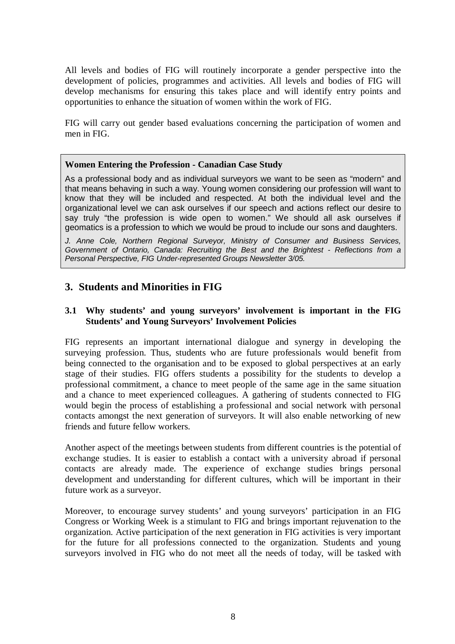All levels and bodies of FIG will routinely incorporate a gender perspective into the development of policies, programmes and activities. All levels and bodies of FIG will develop mechanisms for ensuring this takes place and will identify entry points and opportunities to enhance the situation of women within the work of FIG.

FIG will carry out gender based evaluations concerning the participation of women and men in FIG.

#### **Women Entering the Profession - Canadian Case Study**

As a professional body and as individual surveyors we want to be seen as "modern" and that means behaving in such a way. Young women considering our profession will want to know that they will be included and respected. At both the individual level and the organizational level we can ask ourselves if our speech and actions reflect our desire to say truly "the profession is wide open to women." We should all ask ourselves if geomatics is a profession to which we would be proud to include our sons and daughters.

J. Anne Cole, Northern Regional Surveyor, Ministry of Consumer and Business Services, Government of Ontario, Canada: Recruiting the Best and the Brightest - Reflections from a Personal Perspective, FIG Under-represented Groups Newsletter 3/05.

# **3. Students and Minorities in FIG**

#### **3.1 Why students' and young surveyors' involvement is important in the FIG Students' and Young Surveyors' Involvement Policies**

FIG represents an important international dialogue and synergy in developing the surveying profession. Thus, students who are future professionals would benefit from being connected to the organisation and to be exposed to global perspectives at an early stage of their studies. FIG offers students a possibility for the students to develop a professional commitment, a chance to meet people of the same age in the same situation and a chance to meet experienced colleagues. A gathering of students connected to FIG would begin the process of establishing a professional and social network with personal contacts amongst the next generation of surveyors. It will also enable networking of new friends and future fellow workers.

Another aspect of the meetings between students from different countries is the potential of exchange studies. It is easier to establish a contact with a university abroad if personal contacts are already made. The experience of exchange studies brings personal development and understanding for different cultures, which will be important in their future work as a surveyor.

Moreover, to encourage survey students' and young surveyors' participation in an FIG Congress or Working Week is a stimulant to FIG and brings important rejuvenation to the organization. Active participation of the next generation in FIG activities is very important for the future for all professions connected to the organization. Students and young surveyors involved in FIG who do not meet all the needs of today, will be tasked with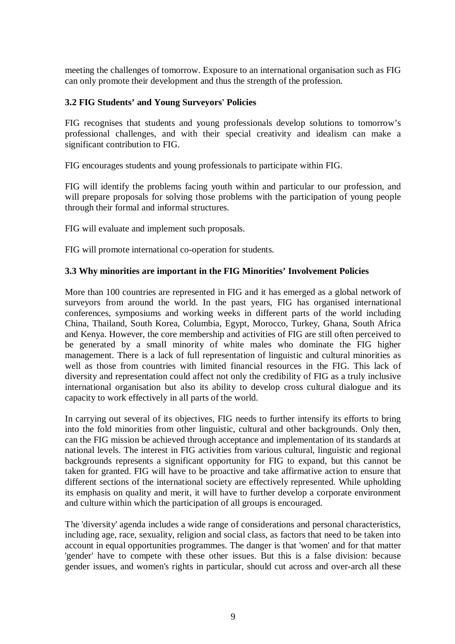meeting the challenges of tomorrow. Exposure to an international organisation such as FIG can only promote their development and thus the strength of the profession.

## **3.2 FIG Students' and Young Surveyors' Policies**

FIG recognises that students and young professionals develop solutions to tomorrow's professional challenges, and with their special creativity and idealism can make a significant contribution to FIG.

FIG encourages students and young professionals to participate within FIG.

FIG will identify the problems facing youth within and particular to our profession, and will prepare proposals for solving those problems with the participation of young people through their formal and informal structures.

FIG will evaluate and implement such proposals.

FIG will promote international co-operation for students.

## **3.3 Why minorities are important in the FIG Minorities' Involvement Policies**

More than 100 countries are represented in FIG and it has emerged as a global network of surveyors from around the world. In the past years, FIG has organised international conferences, symposiums and working weeks in different parts of the world including China, Thailand, South Korea, Columbia, Egypt, Morocco, Turkey, Ghana, South Africa and Kenya. However, the core membership and activities of FIG are still often perceived to be generated by a small minority of white males who dominate the FIG higher management. There is a lack of full representation of linguistic and cultural minorities as well as those from countries with limited financial resources in the FIG. This lack of diversity and representation could affect not only the credibility of FIG as a truly inclusive international organisation but also its ability to develop cross cultural dialogue and its capacity to work effectively in all parts of the world.

In carrying out several of its objectives, FIG needs to further intensify its efforts to bring into the fold minorities from other linguistic, cultural and other backgrounds. Only then, can the FIG mission be achieved through acceptance and implementation of its standards at national levels. The interest in FIG activities from various cultural, linguistic and regional backgrounds represents a significant opportunity for FIG to expand, but this cannot be taken for granted. FIG will have to be proactive and take affirmative action to ensure that different sections of the international society are effectively represented. While upholding its emphasis on quality and merit, it will have to further develop a corporate environment and culture within which the participation of all groups is encouraged.

The 'diversity' agenda includes a wide range of considerations and personal characteristics, including age, race, sexuality, religion and social class, as factors that need to be taken into account in equal opportunities programmes. The danger is that 'women' and for that matter 'gender' have to compete with these other issues. But this is a false division: because gender issues, and women's rights in particular, should cut across and over-arch all these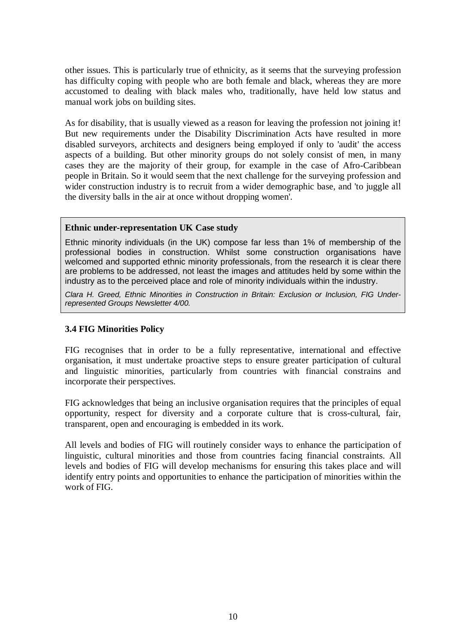other issues. This is particularly true of ethnicity, as it seems that the surveying profession has difficulty coping with people who are both female and black, whereas they are more accustomed to dealing with black males who, traditionally, have held low status and manual work jobs on building sites.

As for disability, that is usually viewed as a reason for leaving the profession not joining it! But new requirements under the Disability Discrimination Acts have resulted in more disabled surveyors, architects and designers being employed if only to 'audit' the access aspects of a building. But other minority groups do not solely consist of men, in many cases they are the majority of their group, for example in the case of Afro-Caribbean people in Britain. So it would seem that the next challenge for the surveying profession and wider construction industry is to recruit from a wider demographic base, and 'to juggle all the diversity balls in the air at once without dropping women'.

#### **Ethnic under-representation UK Case study**

Ethnic minority individuals (in the UK) compose far less than 1% of membership of the professional bodies in construction. Whilst some construction organisations have welcomed and supported ethnic minority professionals, from the research it is clear there are problems to be addressed, not least the images and attitudes held by some within the industry as to the perceived place and role of minority individuals within the industry.

Clara H. Greed, Ethnic Minorities in Construction in Britain: Exclusion or Inclusion, FIG Underrepresented Groups Newsletter 4/00.

## **3.4 FIG Minorities Policy**

FIG recognises that in order to be a fully representative, international and effective organisation, it must undertake proactive steps to ensure greater participation of cultural and linguistic minorities, particularly from countries with financial constrains and incorporate their perspectives.

FIG acknowledges that being an inclusive organisation requires that the principles of equal opportunity, respect for diversity and a corporate culture that is cross-cultural, fair, transparent, open and encouraging is embedded in its work.

All levels and bodies of FIG will routinely consider ways to enhance the participation of linguistic, cultural minorities and those from countries facing financial constraints. All levels and bodies of FIG will develop mechanisms for ensuring this takes place and will identify entry points and opportunities to enhance the participation of minorities within the work of FIG.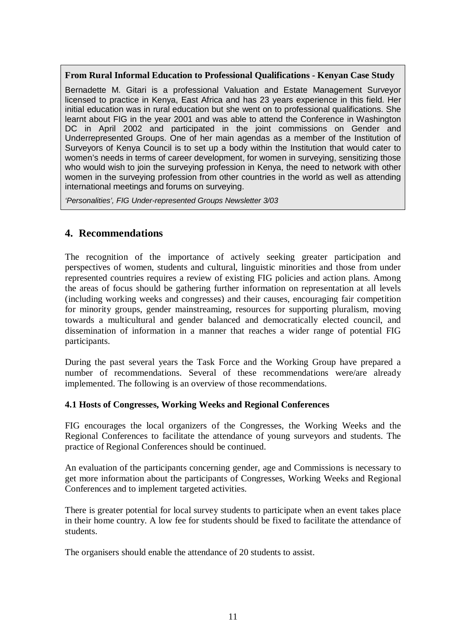#### **From Rural Informal Education to Professional Qualifications - Kenyan Case Study**

Bernadette M. Gitari is a professional Valuation and Estate Management Surveyor licensed to practice in Kenya, East Africa and has 23 years experience in this field. Her initial education was in rural education but she went on to professional qualifications. She learnt about FIG in the year 2001 and was able to attend the Conference in Washington DC in April 2002 and participated in the joint commissions on Gender and Underrepresented Groups. One of her main agendas as a member of the Institution of Surveyors of Kenya Council is to set up a body within the Institution that would cater to women's needs in terms of career development, for women in surveying, sensitizing those who would wish to join the surveying profession in Kenya, the need to network with other women in the surveying profession from other countries in the world as well as attending international meetings and forums on surveying.

'Personalities', FIG Under-represented Groups Newsletter 3/03

# **4. Recommendations**

The recognition of the importance of actively seeking greater participation and perspectives of women, students and cultural, linguistic minorities and those from under represented countries requires a review of existing FIG policies and action plans. Among the areas of focus should be gathering further information on representation at all levels (including working weeks and congresses) and their causes, encouraging fair competition for minority groups, gender mainstreaming, resources for supporting pluralism, moving towards a multicultural and gender balanced and democratically elected council, and dissemination of information in a manner that reaches a wider range of potential FIG participants.

During the past several years the Task Force and the Working Group have prepared a number of recommendations. Several of these recommendations were/are already implemented. The following is an overview of those recommendations.

## **4.1 Hosts of Congresses, Working Weeks and Regional Conferences**

FIG encourages the local organizers of the Congresses, the Working Weeks and the Regional Conferences to facilitate the attendance of young surveyors and students. The practice of Regional Conferences should be continued.

An evaluation of the participants concerning gender, age and Commissions is necessary to get more information about the participants of Congresses, Working Weeks and Regional Conferences and to implement targeted activities.

There is greater potential for local survey students to participate when an event takes place in their home country. A low fee for students should be fixed to facilitate the attendance of students.

The organisers should enable the attendance of 20 students to assist.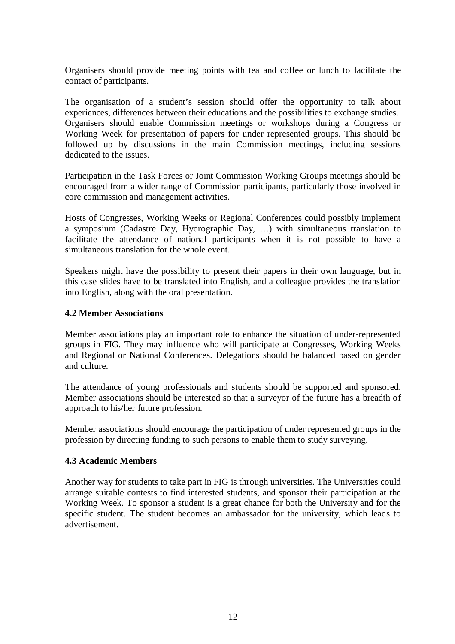Organisers should provide meeting points with tea and coffee or lunch to facilitate the contact of participants.

The organisation of a student's session should offer the opportunity to talk about experiences, differences between their educations and the possibilities to exchange studies. Organisers should enable Commission meetings or workshops during a Congress or Working Week for presentation of papers for under represented groups. This should be followed up by discussions in the main Commission meetings, including sessions dedicated to the issues.

Participation in the Task Forces or Joint Commission Working Groups meetings should be encouraged from a wider range of Commission participants, particularly those involved in core commission and management activities.

Hosts of Congresses, Working Weeks or Regional Conferences could possibly implement a symposium (Cadastre Day, Hydrographic Day, …) with simultaneous translation to facilitate the attendance of national participants when it is not possible to have a simultaneous translation for the whole event.

Speakers might have the possibility to present their papers in their own language, but in this case slides have to be translated into English, and a colleague provides the translation into English, along with the oral presentation.

#### **4.2 Member Associations**

Member associations play an important role to enhance the situation of under-represented groups in FIG. They may influence who will participate at Congresses, Working Weeks and Regional or National Conferences. Delegations should be balanced based on gender and culture.

The attendance of young professionals and students should be supported and sponsored. Member associations should be interested so that a surveyor of the future has a breadth of approach to his/her future profession.

Member associations should encourage the participation of under represented groups in the profession by directing funding to such persons to enable them to study surveying.

#### **4.3 Academic Members**

Another way for students to take part in FIG is through universities. The Universities could arrange suitable contests to find interested students, and sponsor their participation at the Working Week. To sponsor a student is a great chance for both the University and for the specific student. The student becomes an ambassador for the university, which leads to advertisement.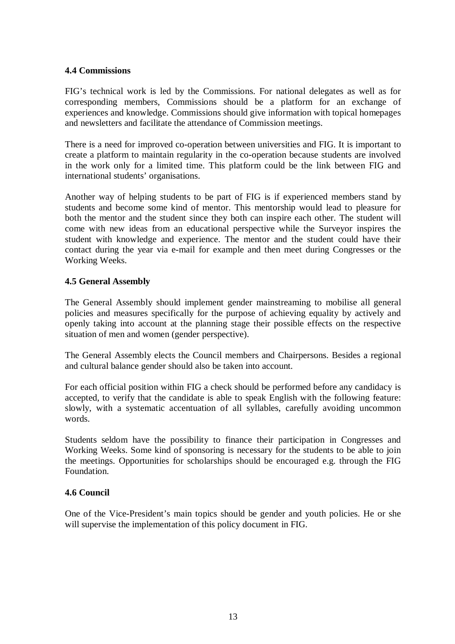#### **4.4 Commissions**

FIG's technical work is led by the Commissions. For national delegates as well as for corresponding members, Commissions should be a platform for an exchange of experiences and knowledge. Commissions should give information with topical homepages and newsletters and facilitate the attendance of Commission meetings.

There is a need for improved co-operation between universities and FIG. It is important to create a platform to maintain regularity in the co-operation because students are involved in the work only for a limited time. This platform could be the link between FIG and international students' organisations.

Another way of helping students to be part of FIG is if experienced members stand by students and become some kind of mentor. This mentorship would lead to pleasure for both the mentor and the student since they both can inspire each other. The student will come with new ideas from an educational perspective while the Surveyor inspires the student with knowledge and experience. The mentor and the student could have their contact during the year via e-mail for example and then meet during Congresses or the Working Weeks.

#### **4.5 General Assembly**

The General Assembly should implement gender mainstreaming to mobilise all general policies and measures specifically for the purpose of achieving equality by actively and openly taking into account at the planning stage their possible effects on the respective situation of men and women (gender perspective).

The General Assembly elects the Council members and Chairpersons. Besides a regional and cultural balance gender should also be taken into account.

For each official position within FIG a check should be performed before any candidacy is accepted, to verify that the candidate is able to speak English with the following feature: slowly, with a systematic accentuation of all syllables, carefully avoiding uncommon words.

Students seldom have the possibility to finance their participation in Congresses and Working Weeks. Some kind of sponsoring is necessary for the students to be able to join the meetings. Opportunities for scholarships should be encouraged e.g. through the FIG Foundation.

## **4.6 Council**

One of the Vice-President's main topics should be gender and youth policies. He or she will supervise the implementation of this policy document in FIG.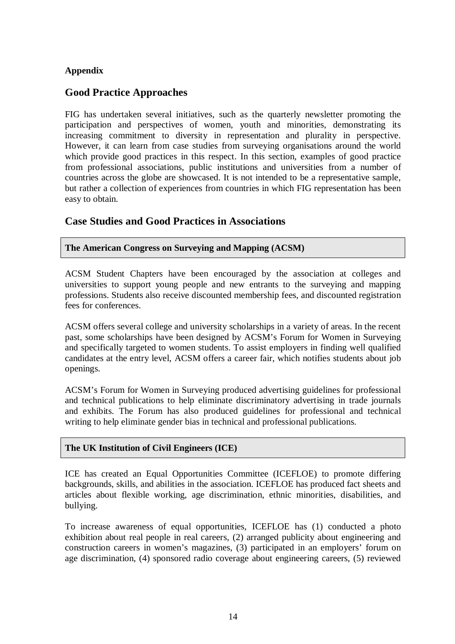## **Appendix**

# **Good Practice Approaches**

FIG has undertaken several initiatives, such as the quarterly newsletter promoting the participation and perspectives of women, youth and minorities, demonstrating its increasing commitment to diversity in representation and plurality in perspective. However, it can learn from case studies from surveying organisations around the world which provide good practices in this respect. In this section, examples of good practice from professional associations, public institutions and universities from a number of countries across the globe are showcased. It is not intended to be a representative sample, but rather a collection of experiences from countries in which FIG representation has been easy to obtain.

## **Case Studies and Good Practices in Associations**

**The American Congress on Surveying and Mapping (ACSM)** 

ACSM Student Chapters have been encouraged by the association at colleges and universities to support young people and new entrants to the surveying and mapping professions. Students also receive discounted membership fees, and discounted registration fees for conferences.

ACSM offers several college and university scholarships in a variety of areas. In the recent past, some scholarships have been designed by ACSM's Forum for Women in Surveying and specifically targeted to women students. To assist employers in finding well qualified candidates at the entry level, ACSM offers a career fair, which notifies students about job openings.

ACSM's Forum for Women in Surveying produced advertising guidelines for professional and technical publications to help eliminate discriminatory advertising in trade journals and exhibits. The Forum has also produced guidelines for professional and technical writing to help eliminate gender bias in technical and professional publications.

#### **The UK Institution of Civil Engineers (ICE)**

ICE has created an Equal Opportunities Committee (ICEFLOE) to promote differing backgrounds, skills, and abilities in the association. ICEFLOE has produced fact sheets and articles about flexible working, age discrimination, ethnic minorities, disabilities, and bullying.

To increase awareness of equal opportunities, ICEFLOE has (1) conducted a photo exhibition about real people in real careers, (2) arranged publicity about engineering and construction careers in women's magazines, (3) participated in an employers' forum on age discrimination, (4) sponsored radio coverage about engineering careers, (5) reviewed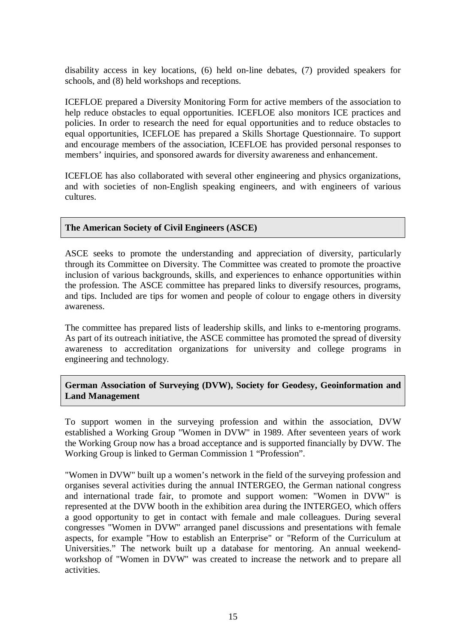disability access in key locations, (6) held on-line debates, (7) provided speakers for schools, and (8) held workshops and receptions.

ICEFLOE prepared a Diversity Monitoring Form for active members of the association to help reduce obstacles to equal opportunities. ICEFLOE also monitors ICE practices and policies. In order to research the need for equal opportunities and to reduce obstacles to equal opportunities, ICEFLOE has prepared a Skills Shortage Questionnaire. To support and encourage members of the association, ICEFLOE has provided personal responses to members' inquiries, and sponsored awards for diversity awareness and enhancement.

ICEFLOE has also collaborated with several other engineering and physics organizations, and with societies of non-English speaking engineers, and with engineers of various cultures.

## **The American Society of Civil Engineers (ASCE)**

ASCE seeks to promote the understanding and appreciation of diversity, particularly through its Committee on Diversity. The Committee was created to promote the proactive inclusion of various backgrounds, skills, and experiences to enhance opportunities within the profession. The ASCE committee has prepared links to diversify resources, programs, and tips. Included are tips for women and people of colour to engage others in diversity awareness.

The committee has prepared lists of leadership skills, and links to e-mentoring programs. As part of its outreach initiative, the ASCE committee has promoted the spread of diversity awareness to accreditation organizations for university and college programs in engineering and technology.

**German Association of Surveying (DVW), Society for Geodesy, Geoinformation and Land Management** 

To support women in the surveying profession and within the association, DVW established a Working Group "Women in DVW" in 1989. After seventeen years of work the Working Group now has a broad acceptance and is supported financially by DVW. The Working Group is linked to German Commission 1 "Profession".

"Women in DVW" built up a women's network in the field of the surveying profession and organises several activities during the annual INTERGEO, the German national congress and international trade fair, to promote and support women: "Women in DVW" is represented at the DVW booth in the exhibition area during the INTERGEO, which offers a good opportunity to get in contact with female and male colleagues. During several congresses "Women in DVW" arranged panel discussions and presentations with female aspects, for example "How to establish an Enterprise" or "Reform of the Curriculum at Universities." The network built up a database for mentoring. An annual weekendworkshop of "Women in DVW" was created to increase the network and to prepare all activities.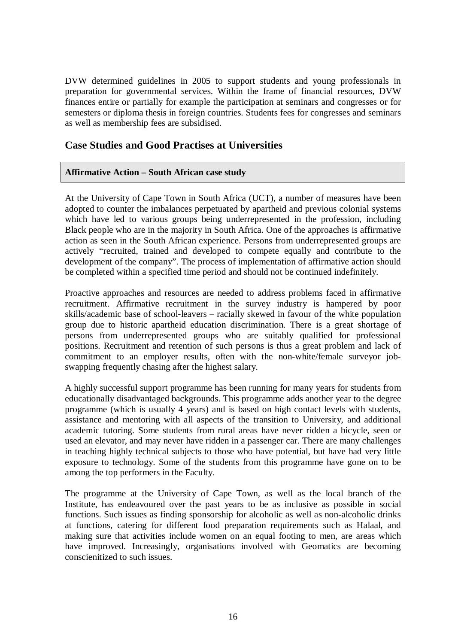DVW determined guidelines in 2005 to support students and young professionals in preparation for governmental services. Within the frame of financial resources, DVW finances entire or partially for example the participation at seminars and congresses or for semesters or diploma thesis in foreign countries. Students fees for congresses and seminars as well as membership fees are subsidised.

# **Case Studies and Good Practises at Universities**

## **Affirmative Action – South African case study**

At the University of Cape Town in South Africa (UCT), a number of measures have been adopted to counter the imbalances perpetuated by apartheid and previous colonial systems which have led to various groups being underrepresented in the profession, including Black people who are in the majority in South Africa. One of the approaches is affirmative action as seen in the South African experience. Persons from underrepresented groups are actively "recruited, trained and developed to compete equally and contribute to the development of the company". The process of implementation of affirmative action should be completed within a specified time period and should not be continued indefinitely.

Proactive approaches and resources are needed to address problems faced in affirmative recruitment. Affirmative recruitment in the survey industry is hampered by poor skills/academic base of school-leavers – racially skewed in favour of the white population group due to historic apartheid education discrimination. There is a great shortage of persons from underrepresented groups who are suitably qualified for professional positions. Recruitment and retention of such persons is thus a great problem and lack of commitment to an employer results, often with the non-white/female surveyor jobswapping frequently chasing after the highest salary.

A highly successful support programme has been running for many years for students from educationally disadvantaged backgrounds. This programme adds another year to the degree programme (which is usually 4 years) and is based on high contact levels with students, assistance and mentoring with all aspects of the transition to University, and additional academic tutoring. Some students from rural areas have never ridden a bicycle, seen or used an elevator, and may never have ridden in a passenger car. There are many challenges in teaching highly technical subjects to those who have potential, but have had very little exposure to technology. Some of the students from this programme have gone on to be among the top performers in the Faculty.

The programme at the University of Cape Town, as well as the local branch of the Institute, has endeavoured over the past years to be as inclusive as possible in social functions. Such issues as finding sponsorship for alcoholic as well as non-alcoholic drinks at functions, catering for different food preparation requirements such as Halaal, and making sure that activities include women on an equal footing to men, are areas which have improved. Increasingly, organisations involved with Geomatics are becoming conscienitized to such issues.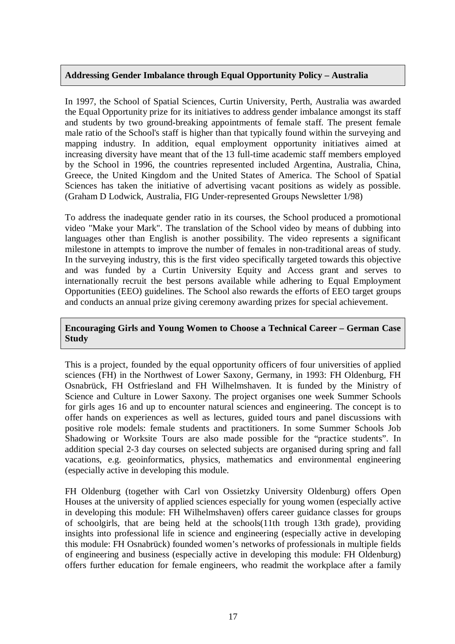#### **Addressing Gender Imbalance through Equal Opportunity Policy – Australia**

In 1997, the School of Spatial Sciences, Curtin University, Perth, Australia was awarded the Equal Opportunity prize for its initiatives to address gender imbalance amongst its staff and students by two ground-breaking appointments of female staff. The present female male ratio of the School's staff is higher than that typically found within the surveying and mapping industry. In addition, equal employment opportunity initiatives aimed at increasing diversity have meant that of the 13 full-time academic staff members employed by the School in 1996, the countries represented included Argentina, Australia, China, Greece, the United Kingdom and the United States of America. The School of Spatial Sciences has taken the initiative of advertising vacant positions as widely as possible. (Graham D Lodwick, Australia, FIG Under-represented Groups Newsletter 1/98)

To address the inadequate gender ratio in its courses, the School produced a promotional video "Make your Mark". The translation of the School video by means of dubbing into languages other than English is another possibility. The video represents a significant milestone in attempts to improve the number of females in non-traditional areas of study. In the surveying industry, this is the first video specifically targeted towards this objective and was funded by a Curtin University Equity and Access grant and serves to internationally recruit the best persons available while adhering to Equal Employment Opportunities (EEO) guidelines. The School also rewards the efforts of EEO target groups and conducts an annual prize giving ceremony awarding prizes for special achievement.

#### **Encouraging Girls and Young Women to Choose a Technical Career – German Case Study**

This is a project, founded by the equal opportunity officers of four universities of applied sciences (FH) in the Northwest of Lower Saxony, Germany, in 1993: FH Oldenburg, FH Osnabrück, FH Ostfriesland and FH Wilhelmshaven. It is funded by the Ministry of Science and Culture in Lower Saxony. The project organises one week Summer Schools for girls ages 16 and up to encounter natural sciences and engineering. The concept is to offer hands on experiences as well as lectures, guided tours and panel discussions with positive role models: female students and practitioners. In some Summer Schools Job Shadowing or Worksite Tours are also made possible for the "practice students". In addition special 2-3 day courses on selected subjects are organised during spring and fall vacations, e.g. geoinformatics, physics, mathematics and environmental engineering (especially active in developing this module.

FH Oldenburg (together with Carl von Ossietzky University Oldenburg) offers Open Houses at the university of applied sciences especially for young women (especially active in developing this module: FH Wilhelmshaven) offers career guidance classes for groups of schoolgirls, that are being held at the schools(11th trough 13th grade), providing insights into professional life in science and engineering (especially active in developing this module: FH Osnabrück) founded women's networks of professionals in multiple fields of engineering and business (especially active in developing this module: FH Oldenburg) offers further education for female engineers, who readmit the workplace after a family